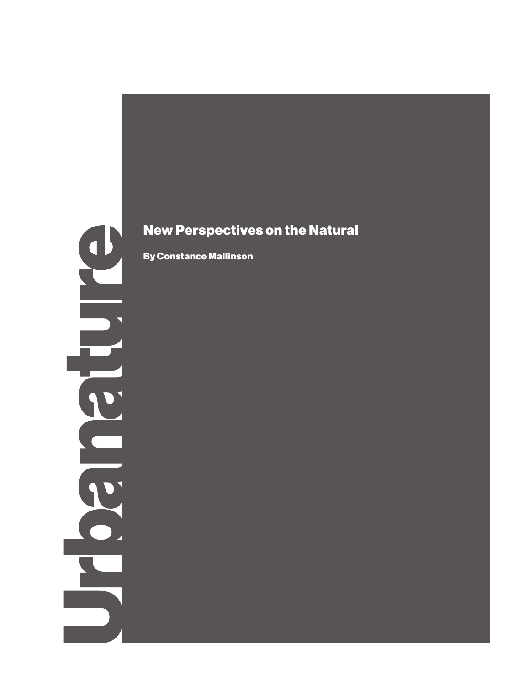## $\bigcup$  $\overline{\phantom{0}}$

## New Perspectives on the Natural

By Constance Mallinson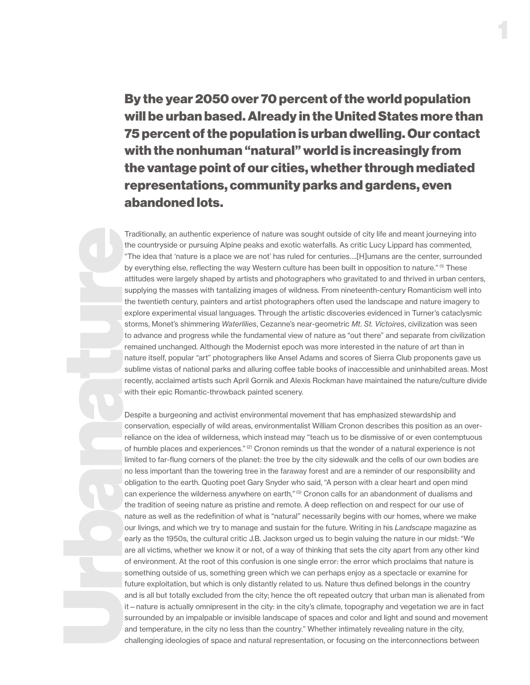By the year 2050 over 70 percent of the world population will be urban based. Already in the United States more than 75 percent of the population is urban dwelling. Our contact with the nonhuman "natural" world is increasingly from the vantage point of our cities, whether through mediated representations, community parks and gardens, even abandoned lots.

1

Traditionally, an authentic experience of nature was sought outside of city life and meant journeying into the countryside or pursuing Alpine peaks and exotic waterfalls. As critic Lucy Lippard has commented, "The idea that 'nature is a place we are not' has ruled for centuries….[H]umans are the center, surrounded by everything else, reflecting the way Western culture has been built in opposition to nature."<sup>(1)</sup> These attitudes were largely shaped by artists and photographers who gravitated to and thrived in urban centers, supplying the masses with tantalizing images of wildness. From nineteenth-century Romanticism well into the twentieth century, painters and artist photographers often used the landscape and nature imagery to explore experimental visual languages. Through the artistic discoveries evidenced in Turner's cataclysmic storms, Monet's shimmering *Waterlilies*, Cezanne's near-geometric *Mt. St. Victoires*, civilization was seen to advance and progress while the fundamental view of nature as "out there" and separate from civilization remained unchanged. Although the Modernist epoch was more interested in the nature of art than in nature itself, popular "art" photographers like Ansel Adams and scores of Sierra Club proponents gave us sublime vistas of national parks and alluring coffee table books of inaccessible and uninhabited areas. Most recently, acclaimed artists such April Gornik and Alexis Rockman have maintained the nature/culture divide with their epic Romantic-throwback painted scenery.

Despite a burgeoning and activist environmental movement that has emphasized stewardship and conservation, especially of wild areas, environmentalist William Cronon describes this position as an overreliance on the idea of wilderness, which instead may "teach us to be dismissive of or even contemptuous of humble places and experiences." (2) Cronon reminds us that the wonder of a natural experience is not limited to far-flung corners of the planet: the tree by the city sidewalk and the cells of our own bodies are no less important than the towering tree in the faraway forest and are a reminder of our responsibility and obligation to the earth. Quoting poet Gary Snyder who said, "A person with a clear heart and open mind can experience the wilderness anywhere on earth,"<sup>(3)</sup> Cronon calls for an abandonment of dualisms and the tradition of seeing nature as pristine and remote. A deep reflection on and respect for our use of nature as well as the redefinition of what is "natural" necessarily begins with our homes, where we make our livings, and which we try to manage and sustain for the future. Writing in his *Landscape* magazine as early as the 1950s, the cultural critic J.B. Jackson urged us to begin valuing the nature in our midst: "We are all victims, whether we know it or not, of a way of thinking that sets the city apart from any other kind of environment. At the root of this confusion is one single error: the error which proclaims that nature is something outside of us, something green which we can perhaps enjoy as a spectacle or examine for future exploitation, but which is only distantly related to us. Nature thus defined belongs in the country and is all but totally excluded from the city; hence the oft repeated outcry that urban man is alienated from it—nature is actually omnipresent in the city: in the city's climate, topography and vegetation we are in fact surrounded by an impalpable or invisible landscape of spaces and color and light and sound and movement and temperature, in the city no less than the country." Whether intimately revealing nature in the city, challenging ideologies of space and natural representation, or focusing on the interconnections between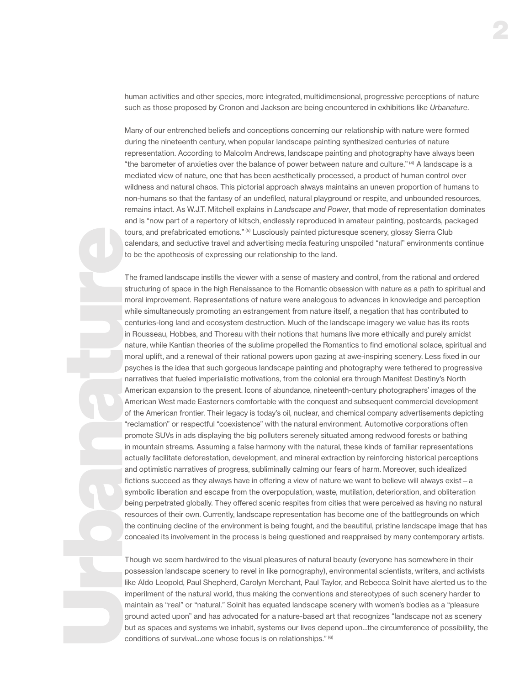human activities and other species, more integrated, multidimensional, progressive perceptions of nature such as those proposed by Cronon and Jackson are being encountered in exhibitions like *Urbanature*.

Many of our entrenched beliefs and conceptions concerning our relationship with nature were formed during the nineteenth century, when popular landscape painting synthesized centuries of nature representation. According to Malcolm Andrews, landscape painting and photography have always been "the barometer of anxieties over the balance of power between nature and culture." (4) A landscape is a mediated view of nature, one that has been aesthetically processed, a product of human control over wildness and natural chaos. This pictorial approach always maintains an uneven proportion of humans to non-humans so that the fantasy of an undefiled, natural playground or respite, and unbounded resources, remains intact. As W.J.T. Mitchell explains in *Landscape and Power*, that mode of representation dominates and is "now part of a repertory of kitsch, endlessly reproduced in amateur painting, postcards, packaged tours, and prefabricated emotions." (5) Lusciously painted picturesque scenery, glossy Sierra Club calendars, and seductive travel and advertising media featuring unspoiled "natural" environments continue to be the apotheosis of expressing our relationship to the land.

The framed landscape instills the viewer with a sense of mastery and control, from the rational and ordered structuring of space in the high Renaissance to the Romantic obsession with nature as a path to spiritual and moral improvement. Representations of nature were analogous to advances in knowledge and perception while simultaneously promoting an estrangement from nature itself, a negation that has contributed to centuries-long land and ecosystem destruction. Much of the landscape imagery we value has its roots in Rousseau, Hobbes, and Thoreau with their notions that humans live more ethically and purely amidst nature, while Kantian theories of the sublime propelled the Romantics to find emotional solace, spiritual and moral uplift, and a renewal of their rational powers upon gazing at awe-inspiring scenery. Less fixed in our psyches is the idea that such gorgeous landscape painting and photography were tethered to progressive narratives that fueled imperialistic motivations, from the colonial era through Manifest Destiny's North American expansion to the present. Icons of abundance, nineteenth-century photographers' images of the American West made Easterners comfortable with the conquest and subsequent commercial development of the American frontier. Their legacy is today's oil, nuclear, and chemical company advertisements depicting "reclamation" or respectful "coexistence" with the natural environment. Automotive corporations often promote SUVs in ads displaying the big polluters serenely situated among redwood forests or bathing in mountain streams. Assuming a false harmony with the natural, these kinds of familiar representations actually facilitate deforestation, development, and mineral extraction by reinforcing historical perceptions and optimistic narratives of progress, subliminally calming our fears of harm. Moreover, such idealized fictions succeed as they always have in offering a view of nature we want to believe will always exist - a symbolic liberation and escape from the overpopulation, waste, mutilation, deterioration, and obliteration being perpetrated globally. They offered scenic respites from cities that were perceived as having no natural resources of their own. Currently, landscape representation has become one of the battlegrounds on which the continuing decline of the environment is being fought, and the beautiful, pristine landscape image that has concealed its involvement in the process is being questioned and reappraised by many contemporary artists.

Though we seem hardwired to the visual pleasures of natural beauty (everyone has somewhere in their possession landscape scenery to revel in like pornography), environmental scientists, writers, and activists like Aldo Leopold, Paul Shepherd, Carolyn Merchant, Paul Taylor, and Rebecca Solnit have alerted us to the imperilment of the natural world, thus making the conventions and stereotypes of such scenery harder to maintain as "real" or "natural." Solnit has equated landscape scenery with women's bodies as a "pleasure ground acted upon" and has advocated for a nature-based art that recognizes "landscape not as scenery but as spaces and systems we inhabit, systems our lives depend upon…the circumference of possibility, the conditions of survival…one whose focus is on relationships." (6)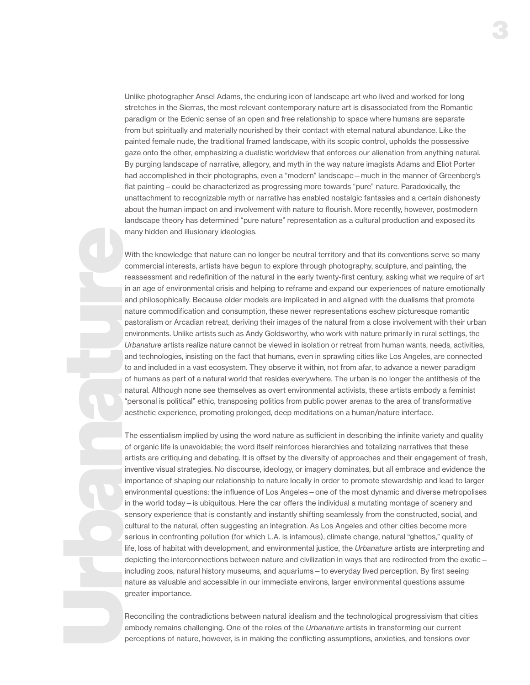Unlike photographer Ansel Adams, the enduring icon of landscape art who lived and worked for long stretches in the Sierras, the most relevant contemporary nature art is disassociated from the Romantic paradigm or the Edenic sense of an open and free relationship to space where humans are separate from but spiritually and materially nourished by their contact with eternal natural abundance. Like the painted female nude, the traditional framed landscape, with its scopic control, upholds the possessive gaze onto the other, emphasizing a dualistic worldview that enforces our alienation from anything natural. By purging landscape of narrative, allegory, and myth in the way nature imagists Adams and Eliot Porter had accomplished in their photographs, even a "modern" landscape—much in the manner of Greenberg's flat painting—could be characterized as progressing more towards "pure" nature. Paradoxically, the unattachment to recognizable myth or narrative has enabled nostalgic fantasies and a certain dishonesty about the human impact on and involvement with nature to flourish. More recently, however, postmodern landscape theory has determined "pure nature" representation as a cultural production and exposed its many hidden and illusionary ideologies.

With the knowledge that nature can no longer be neutral territory and that its conventions serve so many commercial interests, artists have begun to explore through photography, sculpture, and painting, the reassessment and redefinition of the natural in the early twenty-first century, asking what we require of art in an age of environmental crisis and helping to reframe and expand our experiences of nature emotionally and philosophically. Because older models are implicated in and aligned with the dualisms that promote nature commodification and consumption, these newer representations eschew picturesque romantic pastoralism or Arcadian retreat, deriving their images of the natural from a close involvement with their urban environments. Unlike artists such as Andy Goldsworthy, who work with nature primarily in rural settings, the *Urbanature* artists realize nature cannot be viewed in isolation or retreat from human wants, needs, activities, and technologies, insisting on the fact that humans, even in sprawling cities like Los Angeles, are connected to and included in a vast ecosystem. They observe it within, not from afar, to advance a newer paradigm of humans as part of a natural world that resides everywhere. The urban is no longer the antithesis of the natural. Although none see themselves as overt environmental activists, these artists embody a feminist "personal is political" ethic, transposing politics from public power arenas to the area of transformative aesthetic experience, promoting prolonged, deep meditations on a human/nature interface.

The essentialism implied by using the word nature as sufficient in describing the infinite variety and quality of organic life is unavoidable; the word itself reinforces hierarchies and totalizing narratives that these artists are critiquing and debating. It is ofset by the diversity of approaches and their engagement of fresh, inventive visual strategies. No discourse, ideology, or imagery dominates, but all embrace and evidence the importance of shaping our relationship to nature locally in order to promote stewardship and lead to larger environmental questions: the influence of Los Angeles—one of the most dynamic and diverse metropolises in the world today - is ubiquitous. Here the car offers the individual a mutating montage of scenery and sensory experience that is constantly and instantly shifting seamlessly from the constructed, social, and cultural to the natural, often suggesting an integration. As Los Angeles and other cities become more serious in confronting pollution (for which L.A. is infamous), climate change, natural "ghettos," quality of life, loss of habitat with development, and environmental justice, the *Urbanature* artists are interpreting and depicting the interconnections between nature and civilization in ways that are redirected from the exotic – including zoos, natural history museums, and aquariums—to everyday lived perception. By first seeing nature as valuable and accessible in our immediate environs, larger environmental questions assume greater importance.

Reconciling the contradictions between natural idealism and the technological progressivism that cities embody remains challenging. One of the roles of the *Urbanature* artists in transforming our current perceptions of nature, however, is in making the conflicting assumptions, anxieties, and tensions over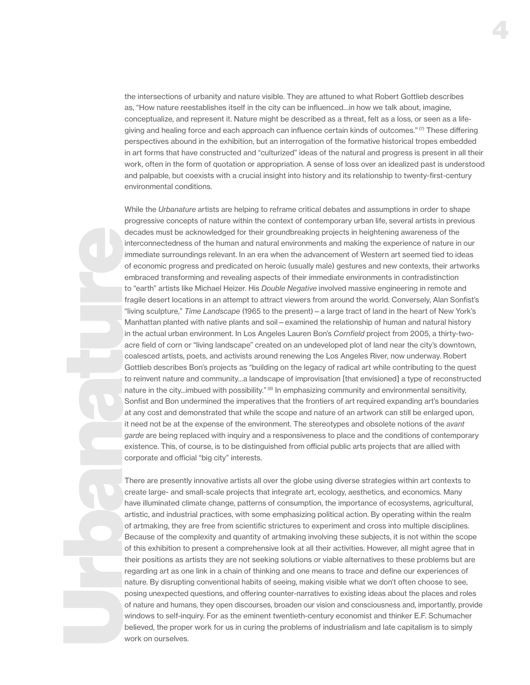the intersections of urbanity and nature visible. They are attuned to what Robert Gottlieb describes as, "How nature reestablishes itself in the city can be influenced…in how we talk about, imagine, conceptualize, and represent it. Nature might be described as a threat, felt as a loss, or seen as a lifegiving and healing force and each approach can influence certain kinds of outcomes."<sup>(7)</sup> These differing perspectives abound in the exhibition, but an interrogation of the formative historical tropes embedded in art forms that have constructed and "culturized" ideas of the natural and progress is present in all their work, often in the form of quotation or appropriation. A sense of loss over an idealized past is understood and palpable, but coexists with a crucial insight into history and its relationship to twenty-first-century environmental conditions.

While the *Urbanature* artists are helping to reframe critical debates and assumptions in order to shape progressive concepts of nature within the context of contemporary urban life, several artists in previous decades must be acknowledged for their groundbreaking projects in heightening awareness of the interconnectedness of the human and natural environments and making the experience of nature in our immediate surroundings relevant. In an era when the advancement of Western art seemed tied to ideas of economic progress and predicated on heroic (usually male) gestures and new contexts, their artworks embraced transforming and revealing aspects of their immediate environments in contradistinction to "earth" artists like Michael Heizer. His *Double Negative* involved massive engineering in remote and fragile desert locations in an attempt to attract viewers from around the world. Conversely, Alan Sonfist's "living sculpture," *Time Landscape* (1965 to the present)—a large tract of land in the heart of New York's Manhattan planted with native plants and soil—examined the relationship of human and natural history in the actual urban environment. In Los Angeles Lauren Bon's *Cornfield* project from 2005, a thirty-twoacre field of corn or "living landscape" created on an undeveloped plot of land near the city's downtown, coalesced artists, poets, and activists around renewing the Los Angeles River, now underway. Robert Gottlieb describes Bon's projects as "building on the legacy of radical art while contributing to the quest to reinvent nature and community…a landscape of improvisation [that envisioned] a type of reconstructed nature in the city...imbued with possibility." (8) In emphasizing community and environmental sensitivity, Sonfist and Bon undermined the imperatives that the frontiers of art required expanding art's boundaries at any cost and demonstrated that while the scope and nature of an artwork can still be enlarged upon, it need not be at the expense of the environment. The stereotypes and obsolete notions of the *avant garde* are being replaced with inquiry and a responsiveness to place and the conditions of contemporary existence. This, of course, is to be distinguished from official public arts projects that are allied with corporate and official "big city" interests.

There are presently innovative artists all over the globe using diverse strategies within art contexts to create large- and small-scale projects that integrate art, ecology, aesthetics, and economics. Many have illuminated climate change, patterns of consumption, the importance of ecosystems, agricultural, artistic, and industrial practices, with some emphasizing political action. By operating within the realm of artmaking, they are free from scientific strictures to experiment and cross into multiple disciplines. Because of the complexity and quantity of artmaking involving these subjects, it is not within the scope of this exhibition to present a comprehensive look at all their activities. However, all might agree that in their positions as artists they are not seeking solutions or viable alternatives to these problems but are regarding art as one link in a chain of thinking and one means to trace and define our experiences of nature. By disrupting conventional habits of seeing, making visible what we don't often choose to see, posing unexpected questions, and ofering counter-narratives to existing ideas about the places and roles of nature and humans, they open discourses, broaden our vision and consciousness and, importantly, provide windows to self-inquiry. For as the eminent twentieth-century economist and thinker E.F. Schumacher believed, the proper work for us in curing the problems of industrialism and late capitalism is to simply work on ourselves.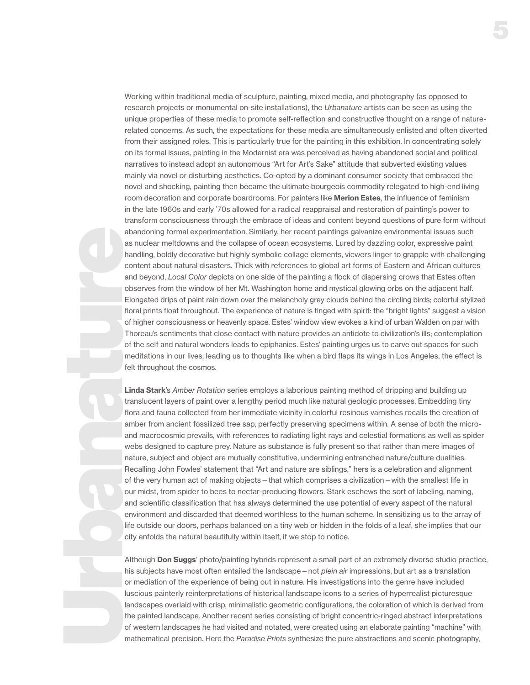Working within traditional media of sculpture, painting, mixed media, and photography (as opposed to research projects or monumental on-site installations), the *Urbanature* artists can be seen as using the unique properties of these media to promote self-reflection and constructive thought on a range of naturerelated concerns. As such, the expectations for these media are simultaneously enlisted and often diverted from their assigned roles. This is particularly true for the painting in this exhibition. In concentrating solely on its formal issues, painting in the Modernist era was perceived as having abandoned social and political narratives to instead adopt an autonomous "Art for Art's Sake" attitude that subverted existing values mainly via novel or disturbing aesthetics. Co-opted by a dominant consumer society that embraced the novel and shocking, painting then became the ultimate bourgeois commodity relegated to high-end living room decoration and corporate boardrooms. For painters like **Merion Estes**, the influence of feminism in the late 1960s and early '70s allowed for a radical reappraisal and restoration of painting's power to transform consciousness through the embrace of ideas and content beyond questions of pure form without abandoning formal experimentation. Similarly, her recent paintings galvanize environmental issues such as nuclear meltdowns and the collapse of ocean ecosystems. Lured by dazzling color, expressive paint handling, boldly decorative but highly symbolic collage elements, viewers linger to grapple with challenging content about natural disasters. Thick with references to global art forms of Eastern and African cultures and beyond, *Local Color* depicts on one side of the painting a flock of dispersing crows that Estes often observes from the window of her Mt. Washington home and mystical glowing orbs on the adjacent half. Elongated drips of paint rain down over the melancholy grey clouds behind the circling birds; colorful stylized floral prints float throughout. The experience of nature is tinged with spirit: the "bright lights" suggest a vision of higher consciousness or heavenly space. Estes' window view evokes a kind of urban Walden on par with Thoreau's sentiments that close contact with nature provides an antidote to civilization's ills; contemplation of the self and natural wonders leads to epiphanies. Estes' painting urges us to carve out spaces for such meditations in our lives, leading us to thoughts like when a bird flaps its wings in Los Angeles, the efect is felt throughout the cosmos.

Linda Stark's *Amber Rotation* series employs a laborious painting method of dripping and building up translucent layers of paint over a lengthy period much like natural geologic processes. Embedding tiny flora and fauna collected from her immediate vicinity in colorful resinous varnishes recalls the creation of amber from ancient fossilized tree sap, perfectly preserving specimens within. A sense of both the microand macrocosmic prevails, with references to radiating light rays and celestial formations as well as spider webs designed to capture prey. Nature as substance is fully present so that rather than mere images of nature, subject and object are mutually constitutive, undermining entrenched nature/culture dualities. Recalling John Fowles' statement that "Art and nature are siblings," hers is a celebration and alignment of the very human act of making objects—that which comprises a civilization—with the smallest life in our midst, from spider to bees to nectar-producing flowers. Stark eschews the sort of labeling, naming, and scientific classification that has always determined the use potential of every aspect of the natural environment and discarded that deemed worthless to the human scheme. In sensitizing us to the array of life outside our doors, perhaps balanced on a tiny web or hidden in the folds of a leaf, she implies that our city enfolds the natural beautifully within itself, if we stop to notice.

Although **Don Suggs'** photo/painting hybrids represent a small part of an extremely diverse studio practice, his subjects have most often entailed the landscape—not *plein air* impressions, but art as a translation or mediation of the experience of being out in nature. His investigations into the genre have included luscious painterly reinterpretations of historical landscape icons to a series of hyperrealist picturesque landscapes overlaid with crisp, minimalistic geometric configurations, the coloration of which is derived from the painted landscape. Another recent series consisting of bright concentric-ringed abstract interpretations of western landscapes he had visited and notated, were created using an elaborate painting "machine" with mathematical precision. Here the *Paradise Prints* synthesize the pure abstractions and scenic photography,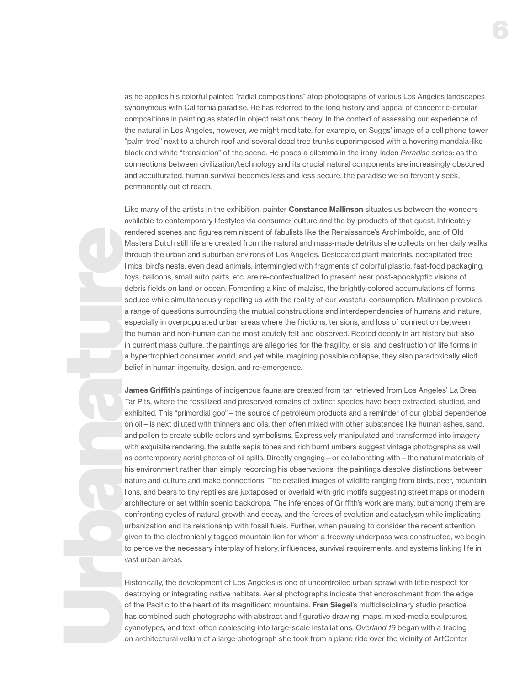as he applies his colorful painted "radial compositions" atop photographs of various Los Angeles landscapes synonymous with California paradise. He has referred to the long history and appeal of concentric-circular compositions in painting as stated in object relations theory. In the context of assessing our experience of the natural in Los Angeles, however, we might meditate, for example, on Suggs' image of a cell phone tower "palm tree" next to a church roof and several dead tree trunks superimposed with a hovering mandala-like black and white "translation" of the scene. He poses a dilemma in the irony-laden *Paradise* series: as the connections between civilization/technology and its crucial natural components are increasingly obscured and acculturated, human survival becomes less and less secure, the paradise we so fervently seek, permanently out of reach.

Like many of the artists in the exhibition, painter **Constance Mallinson** situates us between the wonders available to contemporary lifestyles via consumer culture and the by-products of that quest. Intricately rendered scenes and figures reminiscent of fabulists like the Renaissance's Archimboldo, and of Old Masters Dutch still life are created from the natural and mass-made detritus she collects on her daily walks through the urban and suburban environs of Los Angeles. Desiccated plant materials, decapitated tree limbs, bird's nests, even dead animals, intermingled with fragments of colorful plastic, fast-food packaging, toys, balloons, small auto parts, etc. are re-contextualized to present near post-apocalyptic visions of debris fields on land or ocean. Fomenting a kind of malaise, the brightly colored accumulations of forms seduce while simultaneously repelling us with the reality of our wasteful consumption. Mallinson provokes a range of questions surrounding the mutual constructions and interdependencies of humans and nature, especially in overpopulated urban areas where the frictions, tensions, and loss of connection between the human and non-human can be most acutely felt and observed. Rooted deeply in art history but also in current mass culture, the paintings are allegories for the fragility, crisis, and destruction of life forms in a hypertrophied consumer world, and yet while imagining possible collapse, they also paradoxically elicit belief in human ingenuity, design, and re-emergence.

James Griffith's paintings of indigenous fauna are created from tar retrieved from Los Angeles' La Brea Tar Pits, where the fossilized and preserved remains of extinct species have been extracted, studied, and exhibited. This "primordial goo"—the source of petroleum products and a reminder of our global dependence on oil—is next diluted with thinners and oils, then often mixed with other substances like human ashes, sand, and pollen to create subtle colors and symbolisms. Expressively manipulated and transformed into imagery with exquisite rendering, the subtle sepia tones and rich burnt umbers suggest vintage photographs as well as contemporary aerial photos of oil spills. Directly engaging—or collaborating with—the natural materials of his environment rather than simply recording his observations, the paintings dissolve distinctions between nature and culture and make connections. The detailed images of wildlife ranging from birds, deer, mountain lions, and bears to tiny reptiles are juxtaposed or overlaid with grid motifs suggesting street maps or modern architecture or set within scenic backdrops. The inferences of Grifth's work are many, but among them are confronting cycles of natural growth and decay, and the forces of evolution and cataclysm while implicating urbanization and its relationship with fossil fuels. Further, when pausing to consider the recent attention given to the electronically tagged mountain lion for whom a freeway underpass was constructed, we begin to perceive the necessary interplay of history, influences, survival requirements, and systems linking life in vast urban areas.

Historically, the development of Los Angeles is one of uncontrolled urban sprawl with little respect for destroying or integrating native habitats. Aerial photographs indicate that encroachment from the edge of the Pacific to the heart of its magnificent mountains. Fran Siegel's multidisciplinary studio practice has combined such photographs with abstract and figurative drawing, maps, mixed-media sculptures, cyanotypes, and text, often coalescing into large-scale installations. *Overland 19* began with a tracing on architectural vellum of a large photograph she took from a plane ride over the vicinity of ArtCenter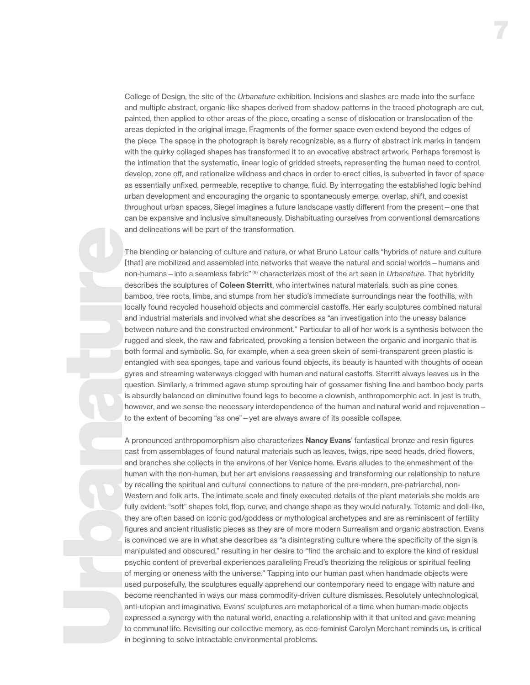College of Design, the site of the *Urbanature* exhibition. Incisions and slashes are made into the surface and multiple abstract, organic-like shapes derived from shadow patterns in the traced photograph are cut, painted, then applied to other areas of the piece, creating a sense of dislocation or translocation of the areas depicted in the original image. Fragments of the former space even extend beyond the edges of the piece. The space in the photograph is barely recognizable, as a flurry of abstract ink marks in tandem with the quirky collaged shapes has transformed it to an evocative abstract artwork. Perhaps foremost is the intimation that the systematic, linear logic of gridded streets, representing the human need to control, develop, zone off, and rationalize wildness and chaos in order to erect cities, is subverted in favor of space as essentially unfixed, permeable, receptive to change, fluid. By interrogating the established logic behind urban development and encouraging the organic to spontaneously emerge, overlap, shift, and coexist throughout urban spaces, Siegel imagines a future landscape vastly diferent from the present—one that can be expansive and inclusive simultaneously. Dishabituating ourselves from conventional demarcations and delineations will be part of the transformation.

The blending or balancing of culture and nature, or what Bruno Latour calls "hybrids of nature and culture [that] are mobilized and assembled into networks that weave the natural and social worlds—humans and non-humans—into a seamless fabric" (9) characterizes most of the art seen in *Urbanature*. That hybridity describes the sculptures of **Coleen Sterritt**, who intertwines natural materials, such as pine cones, bamboo, tree roots, limbs, and stumps from her studio's immediate surroundings near the foothills, with locally found recycled household objects and commercial castofs. Her early sculptures combined natural and industrial materials and involved what she describes as "an investigation into the uneasy balance between nature and the constructed environment." Particular to all of her work is a synthesis between the rugged and sleek, the raw and fabricated, provoking a tension between the organic and inorganic that is both formal and symbolic. So, for example, when a sea green skein of semi-transparent green plastic is entangled with sea sponges, tape and various found objects, its beauty is haunted with thoughts of ocean gyres and streaming waterways clogged with human and natural castofs. Sterritt always leaves us in the question. Similarly, a trimmed agave stump sprouting hair of gossamer fishing line and bamboo body parts is absurdly balanced on diminutive found legs to become a clownish, anthropomorphic act. In jest is truth, however, and we sense the necessary interdependence of the human and natural world and rejuvenation – to the extent of becoming "as one"—yet are always aware of its possible collapse.

A pronounced anthropomorphism also characterizes **Nancy Evans**' fantastical bronze and resin figures cast from assemblages of found natural materials such as leaves, twigs, ripe seed heads, dried flowers, and branches she collects in the environs of her Venice home. Evans alludes to the enmeshment of the human with the non-human, but her art envisions reassessing and transforming our relationship to nature by recalling the spiritual and cultural connections to nature of the pre-modern, pre-patriarchal, non-Western and folk arts. The intimate scale and finely executed details of the plant materials she molds are fully evident: "soft" shapes fold, flop, curve, and change shape as they would naturally. Totemic and doll-like, they are often based on iconic god/goddess or mythological archetypes and are as reminiscent of fertility figures and ancient ritualistic pieces as they are of more modern Surrealism and organic abstraction. Evans is convinced we are in what she describes as "a disintegrating culture where the specificity of the sign is manipulated and obscured," resulting in her desire to "find the archaic and to explore the kind of residual psychic content of preverbal experiences paralleling Freud's theorizing the religious or spiritual feeling of merging or oneness with the universe." Tapping into our human past when handmade objects were used purposefully, the sculptures equally apprehend our contemporary need to engage with nature and become reenchanted in ways our mass commodity-driven culture dismisses. Resolutely untechnological, anti-utopian and imaginative, Evans' sculptures are metaphorical of a time when human-made objects expressed a synergy with the natural world, enacting a relationship with it that united and gave meaning to communal life. Revisiting our collective memory, as eco-feminist Carolyn Merchant reminds us, is critical in beginning to solve intractable environmental problems.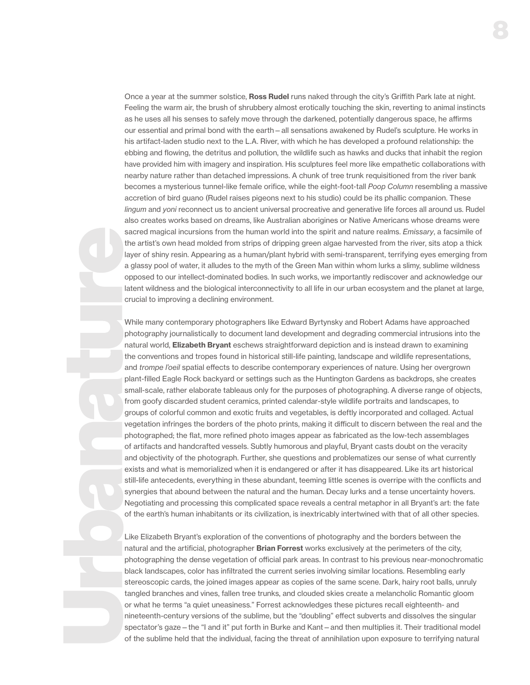Once a year at the summer solstice, Ross Rudel runs naked through the city's Griffith Park late at night. Feeling the warm air, the brush of shrubbery almost erotically touching the skin, reverting to animal instincts as he uses all his senses to safely move through the darkened, potentially dangerous space, he affirms our essential and primal bond with the earth—all sensations awakened by Rudel's sculpture. He works in his artifact-laden studio next to the L.A. River, with which he has developed a profound relationship: the ebbing and flowing, the detritus and pollution, the wildlife such as hawks and ducks that inhabit the region have provided him with imagery and inspiration. His sculptures feel more like empathetic collaborations with nearby nature rather than detached impressions. A chunk of tree trunk requisitioned from the river bank becomes a mysterious tunnel-like female orifice, while the eight-foot-tall *Poop Column* resembling a massive accretion of bird guano (Rudel raises pigeons next to his studio) could be its phallic companion. These *lingum* and *yoni* reconnect us to ancient universal procreative and generative life forces all around us. Rudel also creates works based on dreams, like Australian aborigines or Native Americans whose dreams were sacred magical incursions from the human world into the spirit and nature realms. *Emissary*, a facsimile of the artist's own head molded from strips of dripping green algae harvested from the river, sits atop a thick layer of shiny resin. Appearing as a human/plant hybrid with semi-transparent, terrifying eyes emerging from a glassy pool of water, it alludes to the myth of the Green Man within whom lurks a slimy, sublime wildness opposed to our intellect-dominated bodies. In such works, we importantly rediscover and acknowledge our latent wildness and the biological interconnectivity to all life in our urban ecosystem and the planet at large, crucial to improving a declining environment.

While many contemporary photographers like Edward Byrtynsky and Robert Adams have approached photography journalistically to document land development and degrading commercial intrusions into the natural world, **Elizabeth Bryant** eschews straightforward depiction and is instead drawn to examining the conventions and tropes found in historical still-life painting, landscape and wildlife representations, and *trompe l'oeil* spatial efects to describe contemporary experiences of nature. Using her overgrown plant-filled Eagle Rock backyard or settings such as the Huntington Gardens as backdrops, she creates small-scale, rather elaborate tableaus only for the purposes of photographing. A diverse range of objects, from goofy discarded student ceramics, printed calendar-style wildlife portraits and landscapes, to groups of colorful common and exotic fruits and vegetables, is deftly incorporated and collaged. Actual vegetation infringes the borders of the photo prints, making it difficult to discern between the real and the photographed; the flat, more refined photo images appear as fabricated as the low-tech assemblages of artifacts and handcrafted vessels. Subtly humorous and playful, Bryant casts doubt on the veracity and objectivity of the photograph. Further, she questions and problematizes our sense of what currently exists and what is memorialized when it is endangered or after it has disappeared. Like its art historical still-life antecedents, everything in these abundant, teeming little scenes is overripe with the conflicts and synergies that abound between the natural and the human. Decay lurks and a tense uncertainty hovers. Negotiating and processing this complicated space reveals a central metaphor in all Bryant's art: the fate of the earth's human inhabitants or its civilization, is inextricably intertwined with that of all other species.

Like Elizabeth Bryant's exploration of the conventions of photography and the borders between the natural and the artificial, photographer **Brian Forrest** works exclusively at the perimeters of the city, photographing the dense vegetation of official park areas. In contrast to his previous near-monochromatic black landscapes, color has infiltrated the current series involving similar locations. Resembling early stereoscopic cards, the joined images appear as copies of the same scene. Dark, hairy root balls, unruly tangled branches and vines, fallen tree trunks, and clouded skies create a melancholic Romantic gloom or what he terms "a quiet uneasiness." Forrest acknowledges these pictures recall eighteenth- and nineteenth-century versions of the sublime, but the "doubling" efect subverts and dissolves the singular spectator's gaze—the "I and it" put forth in Burke and Kant—and then multiplies it. Their traditional model of the sublime held that the individual, facing the threat of annihilation upon exposure to terrifying natural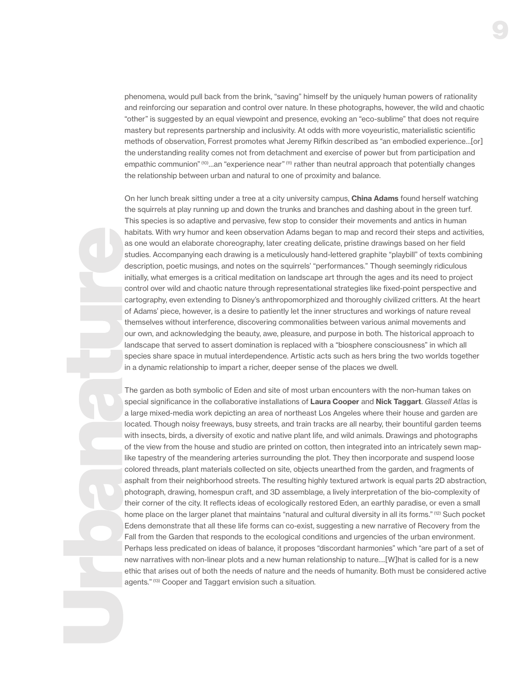phenomena, would pull back from the brink, "saving" himself by the uniquely human powers of rationality and reinforcing our separation and control over nature. In these photographs, however, the wild and chaotic "other" is suggested by an equal viewpoint and presence, evoking an "eco-sublime" that does not require mastery but represents partnership and inclusivity. At odds with more voyeuristic, materialistic scientific methods of observation, Forrest promotes what Jeremy Rifkin described as "an embodied experience…[or] the understanding reality comes not from detachment and exercise of power but from participation and empathic communion" (10)...an "experience near" (11) rather than neutral approach that potentially changes the relationship between urban and natural to one of proximity and balance.

On her lunch break sitting under a tree at a city university campus, China Adams found herself watching the squirrels at play running up and down the trunks and branches and dashing about in the green turf. This species is so adaptive and pervasive, few stop to consider their movements and antics in human habitats. With wry humor and keen observation Adams began to map and record their steps and activities, as one would an elaborate choreography, later creating delicate, pristine drawings based on her field studies. Accompanying each drawing is a meticulously hand-lettered graphite "playbill" of texts combining description, poetic musings, and notes on the squirrels' "performances." Though seemingly ridiculous initially, what emerges is a critical meditation on landscape art through the ages and its need to project control over wild and chaotic nature through representational strategies like fixed-point perspective and cartography, even extending to Disney's anthropomorphized and thoroughly civilized critters. At the heart of Adams' piece, however, is a desire to patiently let the inner structures and workings of nature reveal themselves without interference, discovering commonalities between various animal movements and our own, and acknowledging the beauty, awe, pleasure, and purpose in both. The historical approach to landscape that served to assert domination is replaced with a "biosphere consciousness" in which all species share space in mutual interdependence. Artistic acts such as hers bring the two worlds together in a dynamic relationship to impart a richer, deeper sense of the places we dwell.

The garden as both symbolic of Eden and site of most urban encounters with the non-human takes on special significance in the collaborative installations of Laura Cooper and Nick Taggart. *Glassell Atlas* is a large mixed-media work depicting an area of northeast Los Angeles where their house and garden are located. Though noisy freeways, busy streets, and train tracks are all nearby, their bountiful garden teems with insects, birds, a diversity of exotic and native plant life, and wild animals. Drawings and photographs of the view from the house and studio are printed on cotton, then integrated into an intricately sewn maplike tapestry of the meandering arteries surrounding the plot. They then incorporate and suspend loose colored threads, plant materials collected on site, objects unearthed from the garden, and fragments of asphalt from their neighborhood streets. The resulting highly textured artwork is equal parts 2D abstraction, photograph, drawing, homespun craft, and 3D assemblage, a lively interpretation of the bio-complexity of their corner of the city. It reflects ideas of ecologically restored Eden, an earthly paradise, or even a small home place on the larger planet that maintains "natural and cultural diversity in all its forms." (12) Such pocket Edens demonstrate that all these life forms can co-exist, suggesting a new narrative of Recovery from the Fall from the Garden that responds to the ecological conditions and urgencies of the urban environment. Perhaps less predicated on ideas of balance, it proposes "discordant harmonies" which "are part of a set of new narratives with non-linear plots and a new human relationship to nature….[W]hat is called for is a new ethic that arises out of both the needs of nature and the needs of humanity. Both must be considered active agents." (13) Cooper and Taggart envision such a situation.